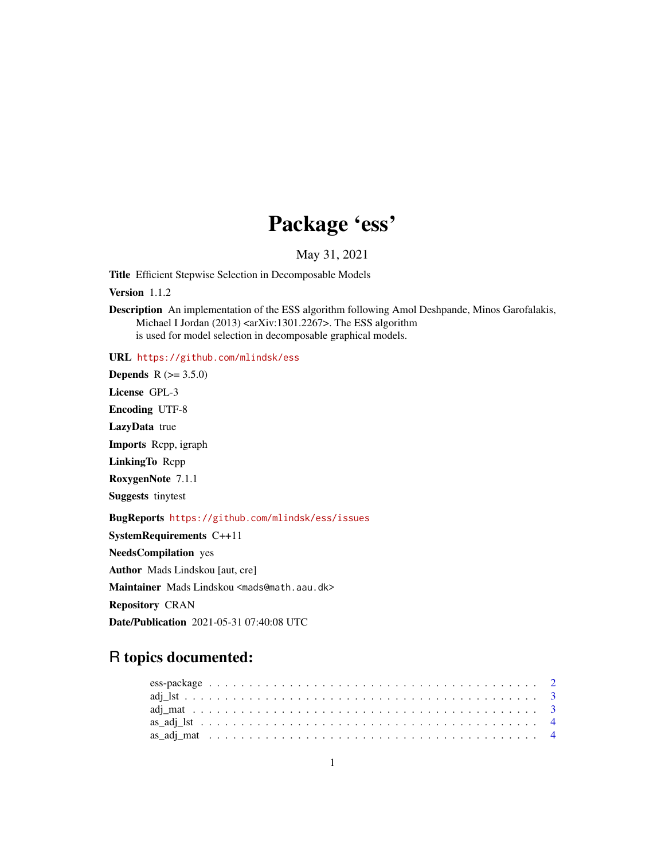# Package 'ess'

May 31, 2021

Title Efficient Stepwise Selection in Decomposable Models

Version 1.1.2

Description An implementation of the ESS algorithm following Amol Deshpande, Minos Garofalakis, Michael I Jordan (2013) <arXiv:1301.2267>. The ESS algorithm is used for model selection in decomposable graphical models.

URL <https://github.com/mlindsk/ess>

**Depends** R  $(>= 3.5.0)$ License GPL-3 Encoding UTF-8 LazyData true Imports Rcpp, igraph LinkingTo Rcpp

RoxygenNote 7.1.1

Suggests tinytest

BugReports <https://github.com/mlindsk/ess/issues>

SystemRequirements C++11 NeedsCompilation yes Author Mads Lindskou [aut, cre] Maintainer Mads Lindskou <mads@math.aau.dk> Repository CRAN Date/Publication 2021-05-31 07:40:08 UTC

# R topics documented: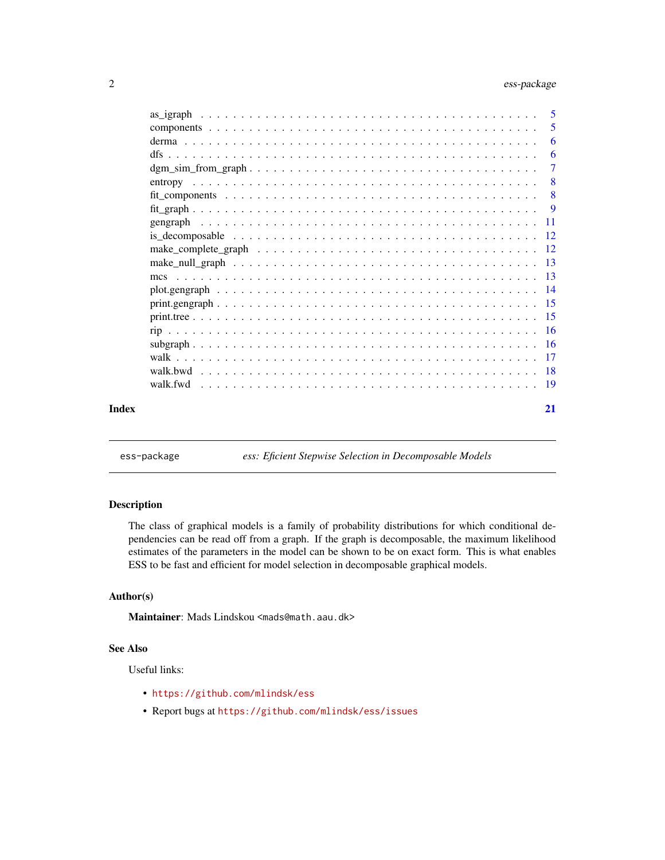# <span id="page-1-0"></span>2 ess-package

|                                                                                                                     |  |  |  |  |  |  |  |  |  |  |  |  |  |  |  |  |  | 5                         |
|---------------------------------------------------------------------------------------------------------------------|--|--|--|--|--|--|--|--|--|--|--|--|--|--|--|--|--|---------------------------|
|                                                                                                                     |  |  |  |  |  |  |  |  |  |  |  |  |  |  |  |  |  | 6                         |
|                                                                                                                     |  |  |  |  |  |  |  |  |  |  |  |  |  |  |  |  |  | -6                        |
|                                                                                                                     |  |  |  |  |  |  |  |  |  |  |  |  |  |  |  |  |  | 7                         |
|                                                                                                                     |  |  |  |  |  |  |  |  |  |  |  |  |  |  |  |  |  | $\overline{\phantom{0}}8$ |
|                                                                                                                     |  |  |  |  |  |  |  |  |  |  |  |  |  |  |  |  |  | $\overline{\phantom{0}}8$ |
|                                                                                                                     |  |  |  |  |  |  |  |  |  |  |  |  |  |  |  |  |  |                           |
|                                                                                                                     |  |  |  |  |  |  |  |  |  |  |  |  |  |  |  |  |  |                           |
|                                                                                                                     |  |  |  |  |  |  |  |  |  |  |  |  |  |  |  |  |  |                           |
| make_complete_graph $\ldots \ldots \ldots \ldots \ldots \ldots \ldots \ldots \ldots \ldots \ldots \ldots \ldots 12$ |  |  |  |  |  |  |  |  |  |  |  |  |  |  |  |  |  |                           |
|                                                                                                                     |  |  |  |  |  |  |  |  |  |  |  |  |  |  |  |  |  |                           |
|                                                                                                                     |  |  |  |  |  |  |  |  |  |  |  |  |  |  |  |  |  |                           |
|                                                                                                                     |  |  |  |  |  |  |  |  |  |  |  |  |  |  |  |  |  |                           |
|                                                                                                                     |  |  |  |  |  |  |  |  |  |  |  |  |  |  |  |  |  |                           |
|                                                                                                                     |  |  |  |  |  |  |  |  |  |  |  |  |  |  |  |  |  |                           |
|                                                                                                                     |  |  |  |  |  |  |  |  |  |  |  |  |  |  |  |  |  |                           |
|                                                                                                                     |  |  |  |  |  |  |  |  |  |  |  |  |  |  |  |  |  |                           |
|                                                                                                                     |  |  |  |  |  |  |  |  |  |  |  |  |  |  |  |  |  |                           |
|                                                                                                                     |  |  |  |  |  |  |  |  |  |  |  |  |  |  |  |  |  |                           |
|                                                                                                                     |  |  |  |  |  |  |  |  |  |  |  |  |  |  |  |  |  |                           |
|                                                                                                                     |  |  |  |  |  |  |  |  |  |  |  |  |  |  |  |  |  |                           |
|                                                                                                                     |  |  |  |  |  |  |  |  |  |  |  |  |  |  |  |  |  | 21                        |
|                                                                                                                     |  |  |  |  |  |  |  |  |  |  |  |  |  |  |  |  |  |                           |

ess-package *ess: Eficient Stepwise Selection in Decomposable Models*

# Description

The class of graphical models is a family of probability distributions for which conditional dependencies can be read off from a graph. If the graph is decomposable, the maximum likelihood estimates of the parameters in the model can be shown to be on exact form. This is what enables ESS to be fast and efficient for model selection in decomposable graphical models.

#### Author(s)

Maintainer: Mads Lindskou <mads@math.aau.dk>

#### See Also

Useful links:

- <https://github.com/mlindsk/ess>
- Report bugs at <https://github.com/mlindsk/ess/issues>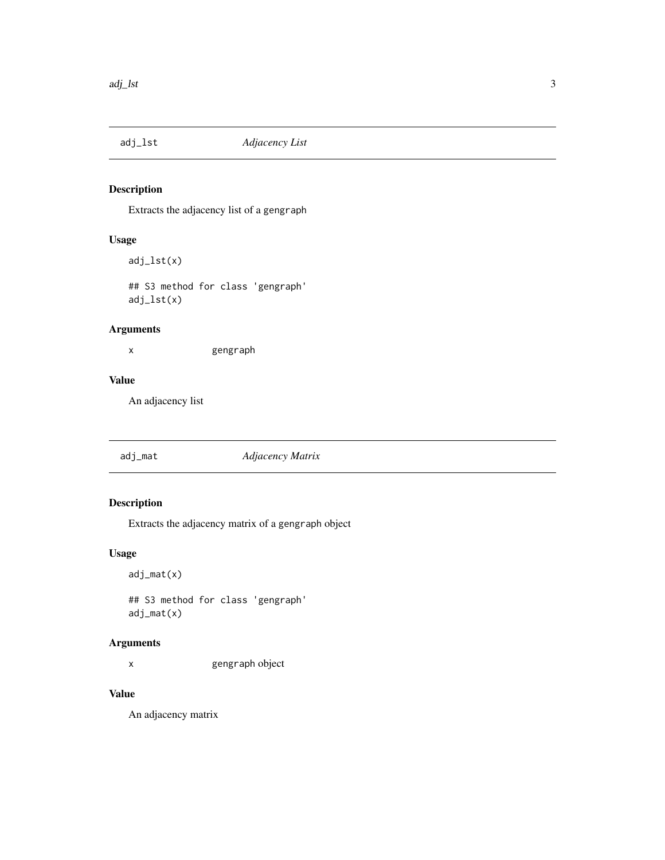<span id="page-2-3"></span><span id="page-2-1"></span><span id="page-2-0"></span>

Extracts the adjacency list of a gengraph

# Usage

adj\_lst(x)

## S3 method for class 'gengraph' adj\_lst(x)

# Arguments

x gengraph

# Value

An adjacency list

<span id="page-2-4"></span>

| adj_mat | Adjacency Matrix |  |
|---------|------------------|--|
|---------|------------------|--|

# <span id="page-2-2"></span>Description

Extracts the adjacency matrix of a gengraph object

# Usage

adj\_mat(x)

## S3 method for class 'gengraph' adj\_mat(x)

# Arguments

x gengraph object

# Value

An adjacency matrix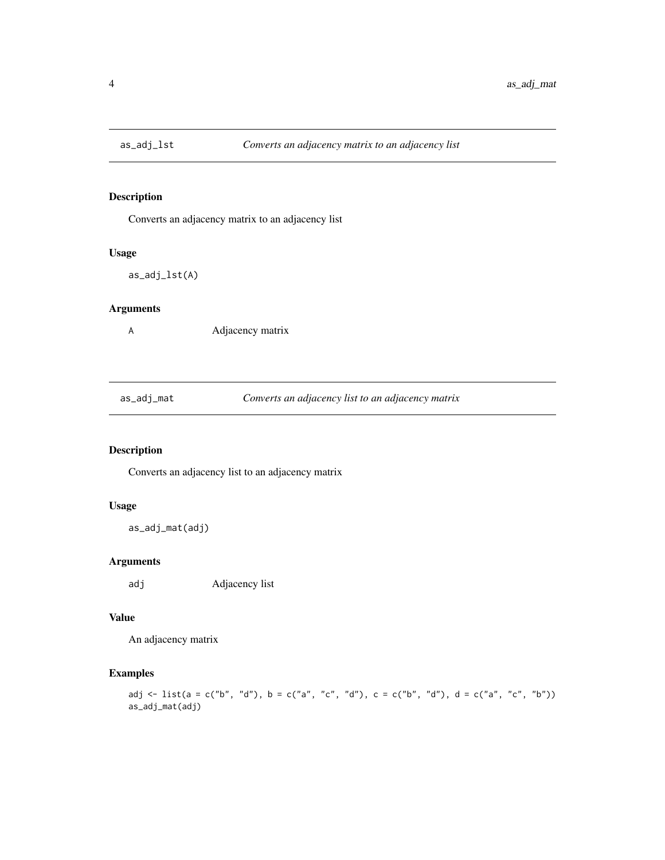<span id="page-3-0"></span>

Converts an adjacency matrix to an adjacency list

#### Usage

as\_adj\_lst(A)

# Arguments

A Adjacency matrix

as\_adj\_mat *Converts an adjacency list to an adjacency matrix*

# Description

Converts an adjacency list to an adjacency matrix

# Usage

as\_adj\_mat(adj)

# Arguments

adj Adjacency list

# Value

An adjacency matrix

# Examples

adj <- list(a = c("b", "d"), b = c("a", "c", "d"), c = c("b", "d"), d = c("a", "c", "b")) as\_adj\_mat(adj)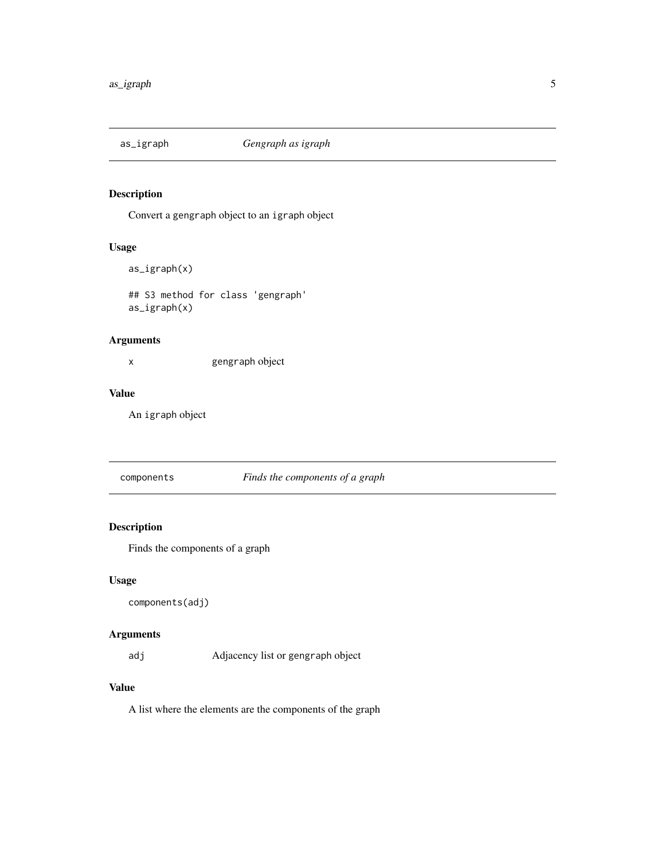<span id="page-4-1"></span><span id="page-4-0"></span>

Convert a gengraph object to an igraph object

# Usage

```
as_igraph(x)
```
## S3 method for class 'gengraph' as\_igraph(x)

# Arguments

x gengraph object

# Value

An igraph object

components *Finds the components of a graph*

# Description

Finds the components of a graph

# Usage

```
components(adj)
```
## Arguments

adj Adjacency list or gengraph object

## Value

A list where the elements are the components of the graph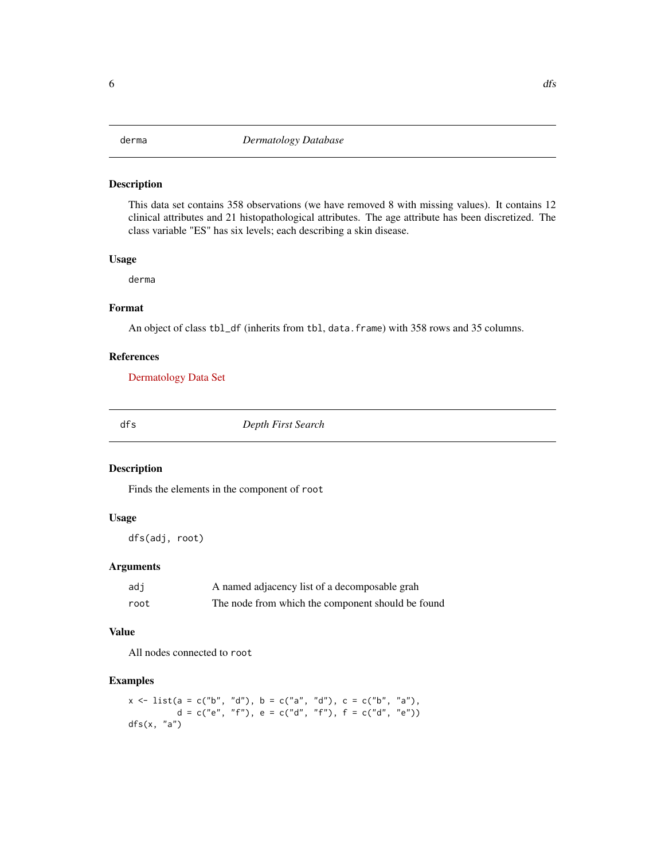<span id="page-5-0"></span>This data set contains 358 observations (we have removed 8 with missing values). It contains 12 clinical attributes and 21 histopathological attributes. The age attribute has been discretized. The class variable "ES" has six levels; each describing a skin disease.

#### Usage

derma

#### Format

An object of class tbl\_df (inherits from tbl, data.frame) with 358 rows and 35 columns.

#### References

[Dermatology Data Set](https://archive.ics.uci.edu/ml/datasets/dermatology)

dfs *Depth First Search*

#### Description

Finds the elements in the component of root

#### Usage

dfs(adj, root)

## Arguments

| adi  | A named adjacency list of a decomposable grah     |
|------|---------------------------------------------------|
| root | The node from which the component should be found |

#### Value

All nodes connected to root

```
x \le list(a = c("b", "d"), b = c("a", "d"), c = c("b", "a"),
         d = c("e", "f"), e = c("d", "f"), f = c("d", "e"))dfs(x, "a")
```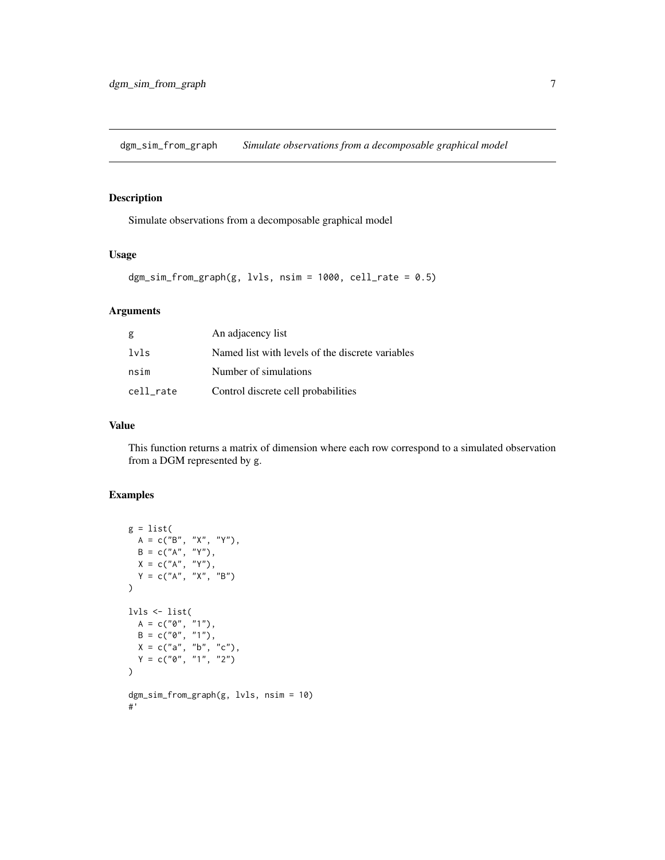<span id="page-6-0"></span>dgm\_sim\_from\_graph *Simulate observations from a decomposable graphical model*

#### Description

Simulate observations from a decomposable graphical model

#### Usage

```
dgm\_sim\_from\_graph(g, lvls, nsim = 1000, cell\_rate = 0.5)
```
# Arguments

| g         | An adjacency list                                |
|-----------|--------------------------------------------------|
| lvls      | Named list with levels of the discrete variables |
| nsim      | Number of simulations                            |
| cell rate | Control discrete cell probabilities              |

# Value

This function returns a matrix of dimension where each row correspond to a simulated observation from a DGM represented by g.

```
g = list(A = c("B", "X", "Y"),
  B = c("A", "Y"),
  X = c("A", "Y"),
  Y = c("A", "X", "B")
\lambdalvls <- list(
  A = c("0", "1"),
  B = c("0", "1"),
  X = c("a", "b", "c"),Y = c("0", "1", "2")
\mathcal{L}dgm_sim_from_graph(g, lvls, nsim = 10)
#'
```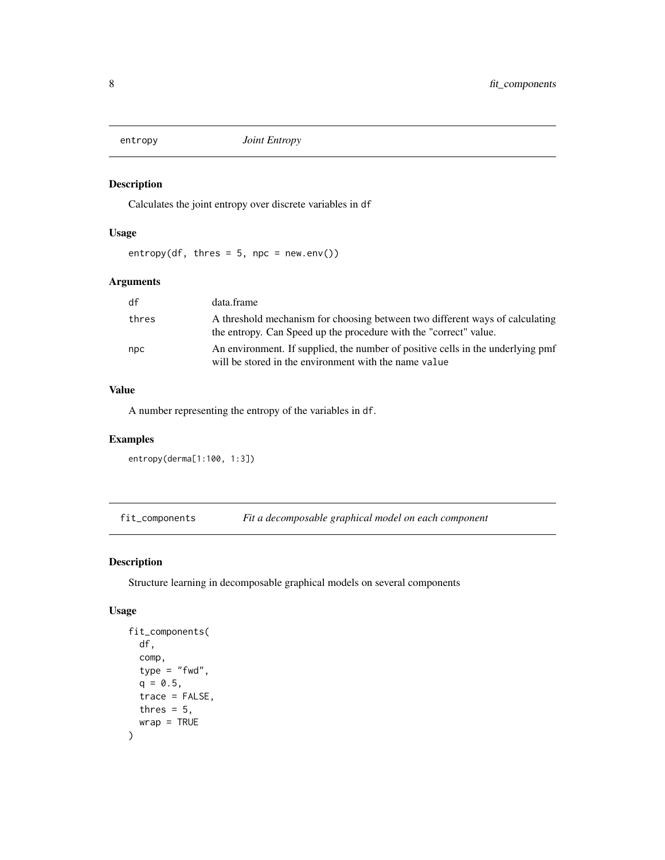<span id="page-7-0"></span>

Calculates the joint entropy over discrete variables in df

# Usage

entropy(df, thres =  $5$ , npc = new.env())

# Arguments

| df    | data.frame                                                                                                                                        |
|-------|---------------------------------------------------------------------------------------------------------------------------------------------------|
| thres | A threshold mechanism for choosing between two different ways of calculating<br>the entropy. Can Speed up the procedure with the "correct" value. |
| npc   | An environment. If supplied, the number of positive cells in the underlying pmf<br>will be stored in the environment with the name value          |

#### Value

A number representing the entropy of the variables in df.

# Examples

```
entropy(derma[1:100, 1:3])
```
fit\_components *Fit a decomposable graphical model on each component*

#### Description

Structure learning in decomposable graphical models on several components

#### Usage

```
fit_components(
  df,
  comp,
  type = "fwd",q = 0.5,
  trace = FALSE,
  thres = 5,
  wrap = TRUE\mathcal{E}
```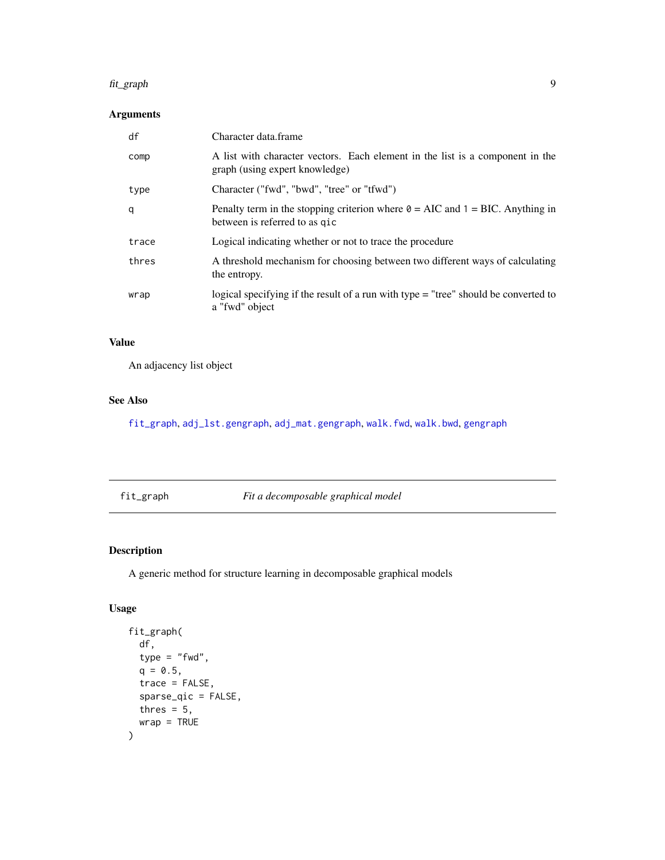#### <span id="page-8-0"></span>fit\_graph 9

# Arguments

| df    | Character data.frame                                                                                                     |
|-------|--------------------------------------------------------------------------------------------------------------------------|
| comp  | A list with character vectors. Each element in the list is a component in the<br>graph (using expert knowledge)          |
| type  | Character ("fwd", "bwd", "tree" or "tfwd")                                                                               |
| q     | Penalty term in the stopping criterion where $\theta = AIC$ and $1 = BIC$ . Anything in<br>between is referred to as gic |
| trace | Logical indicating whether or not to trace the procedure                                                                 |
| thres | A threshold mechanism for choosing between two different ways of calculating<br>the entropy.                             |
| wrap  | logical specifying if the result of a run with type $=$ "tree" should be converted to<br>a "fwd" object                  |

# Value

An adjacency list object

# See Also

[fit\\_graph](#page-8-1), [adj\\_lst.gengraph](#page-2-1), [adj\\_mat.gengraph](#page-2-2), [walk.fwd](#page-18-1), [walk.bwd](#page-17-1), [gengraph](#page-10-1)

<span id="page-8-1"></span>fit\_graph *Fit a decomposable graphical model*

# Description

A generic method for structure learning in decomposable graphical models

# Usage

```
fit_graph(
 df,
 type = "fwd",q = 0.5,
 trace = FALSE,
 sparse_qic = FALSE,
 thres = 5,
 wrap = TRUE
)
```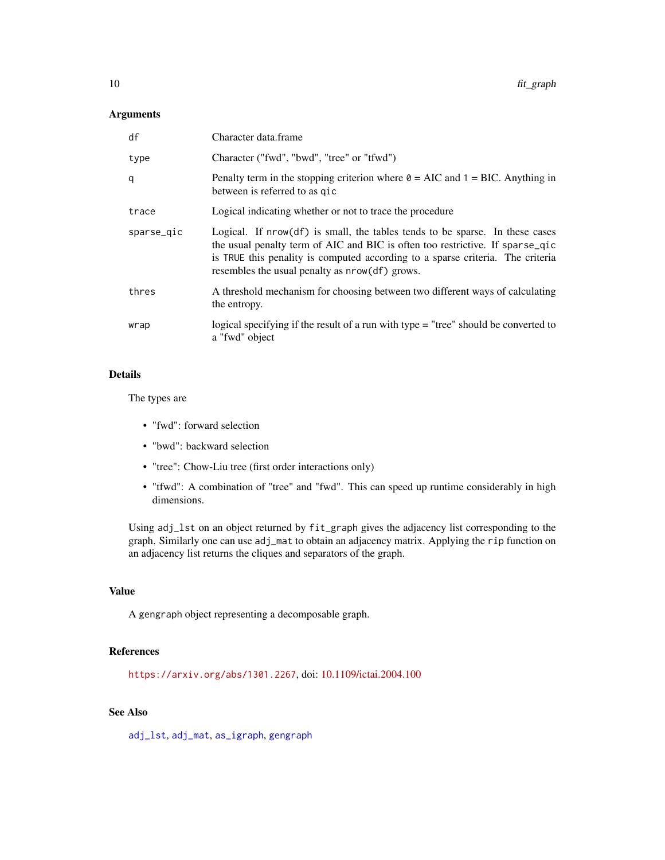# <span id="page-9-0"></span>Arguments

| df         | Character data.frame                                                                                                                                                                                                                                                                                  |
|------------|-------------------------------------------------------------------------------------------------------------------------------------------------------------------------------------------------------------------------------------------------------------------------------------------------------|
| type       | Character ("fwd", "bwd", "tree" or "tfwd")                                                                                                                                                                                                                                                            |
| q          | Penalty term in the stopping criterion where $\theta = AIC$ and $1 = BIC$ . Anything in<br>between is referred to as qic                                                                                                                                                                              |
| trace      | Logical indicating whether or not to trace the procedure                                                                                                                                                                                                                                              |
| sparse_qic | Logical. If $nrow(df)$ is small, the tables tends to be sparse. In these cases<br>the usual penalty term of AIC and BIC is often too restrictive. If sparse_qic<br>is TRUE this penality is computed according to a sparse criteria. The criteria<br>resembles the usual penalty as $nrow(df)$ grows. |
| thres      | A threshold mechanism for choosing between two different ways of calculating<br>the entropy.                                                                                                                                                                                                          |
| wrap       | logical specifying if the result of a run with type $=$ "tree" should be converted to<br>a "fwd" object                                                                                                                                                                                               |

#### Details

The types are

- "fwd": forward selection
- "bwd": backward selection
- "tree": Chow-Liu tree (first order interactions only)
- "tfwd": A combination of "tree" and "fwd". This can speed up runtime considerably in high dimensions.

Using adj\_lst on an object returned by fit\_graph gives the adjacency list corresponding to the graph. Similarly one can use adj\_mat to obtain an adjacency matrix. Applying the rip function on an adjacency list returns the cliques and separators of the graph.

#### Value

A gengraph object representing a decomposable graph.

# References

<https://arxiv.org/abs/1301.2267>, doi: [10.1109/ictai.2004.100](https://doi.org/10.1109/ictai.2004.100)

# See Also

[adj\\_lst](#page-2-3), [adj\\_mat](#page-2-4), [as\\_igraph](#page-4-1), [gengraph](#page-10-1)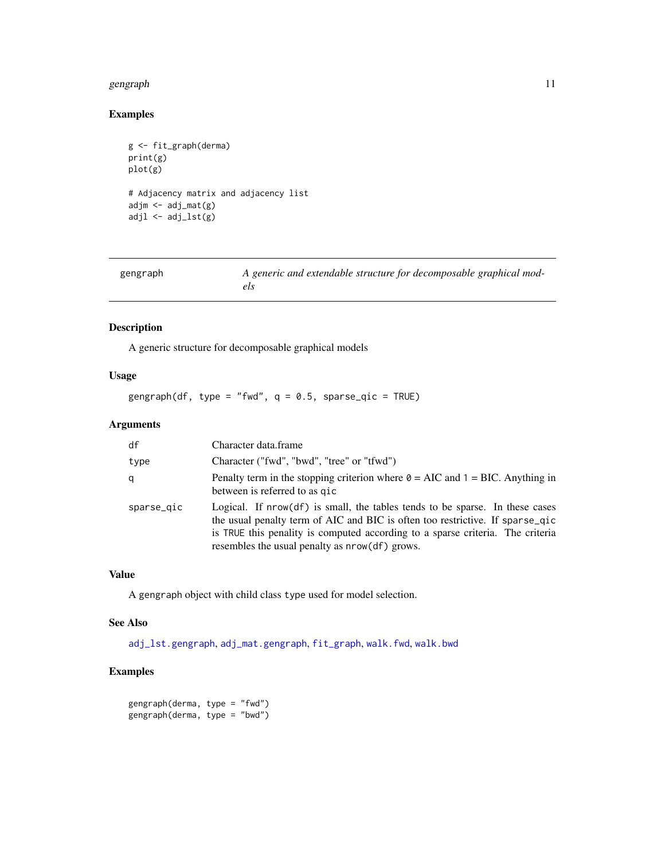#### <span id="page-10-0"></span>gengraph 11

# Examples

```
g <- fit_graph(derma)
print(g)
plot(g)
# Adjacency matrix and adjacency list
adjm <- adj_mat(g)
adjl \leftarrow adj_lst(g)
```
<span id="page-10-1"></span>

| gengraph | A generic and extendable structure for decomposable graphical mod- |
|----------|--------------------------------------------------------------------|
|          |                                                                    |

# Description

A generic structure for decomposable graphical models

# Usage

gengraph(df, type = "fwd",  $q = 0.5$ , sparse\_qic = TRUE)

#### Arguments

| df         | Character data.frame                                                                                                                                                                                                                                                                              |
|------------|---------------------------------------------------------------------------------------------------------------------------------------------------------------------------------------------------------------------------------------------------------------------------------------------------|
| type       | Character ("fwd", "bwd", "tree" or "tfwd")                                                                                                                                                                                                                                                        |
| q          | Penalty term in the stopping criterion where $\theta = AIC$ and $1 = BIC$ . Anything in<br>between is referred to as gic                                                                                                                                                                          |
| sparse_gic | Logical. If nrow(df) is small, the tables tends to be sparse. In these cases<br>the usual penalty term of AIC and BIC is often too restrictive. If sparse_qic<br>is TRUE this penality is computed according to a sparse criteria. The criteria<br>resembles the usual penalty as nrow(df) grows. |

# Value

A gengraph object with child class type used for model selection.

# See Also

[adj\\_lst.gengraph](#page-2-1), [adj\\_mat.gengraph](#page-2-2), [fit\\_graph](#page-8-1), [walk.fwd](#page-18-1), [walk.bwd](#page-17-1)

```
gengraph(derma, type = "fwd")
gengraph(derma, type = "bwd")
```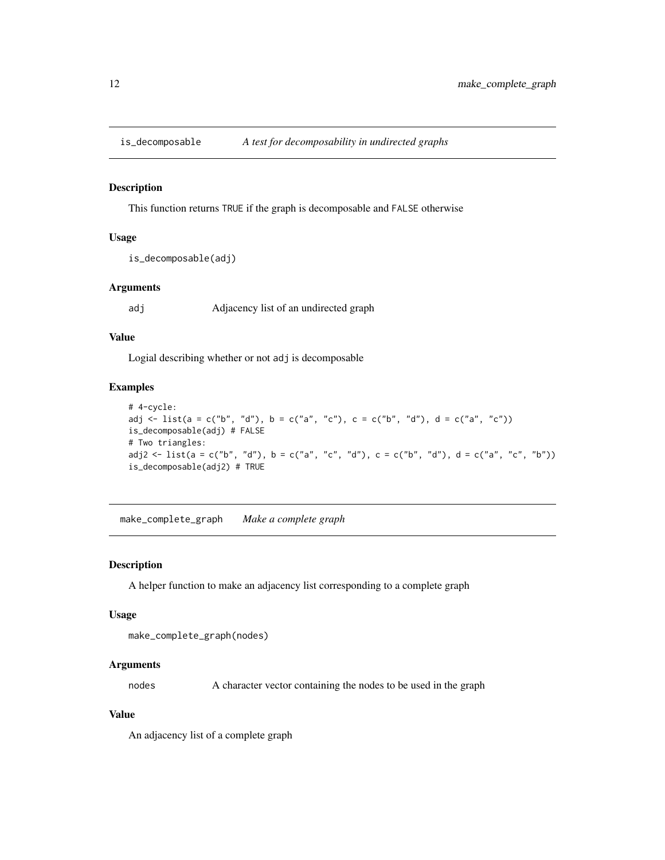<span id="page-11-1"></span><span id="page-11-0"></span>

This function returns TRUE if the graph is decomposable and FALSE otherwise

#### Usage

```
is_decomposable(adj)
```
#### Arguments

adj Adjacency list of an undirected graph

#### Value

Logial describing whether or not adj is decomposable

# Examples

```
# 4-cycle:
adj <- list(a = c("b", "d"), b = c("a", "c"), c = c("b", "d"), d = c("a", "c"))
is_decomposable(adj) # FALSE
# Two triangles:
adj2 <- list(a = c("b", "d"), b = c("a", "c", "d"), c = c("b", "d"), d = c("a", "c", "b"))
is_decomposable(adj2) # TRUE
```
make\_complete\_graph *Make a complete graph*

#### Description

A helper function to make an adjacency list corresponding to a complete graph

#### Usage

```
make_complete_graph(nodes)
```
#### Arguments

nodes A character vector containing the nodes to be used in the graph

#### Value

An adjacency list of a complete graph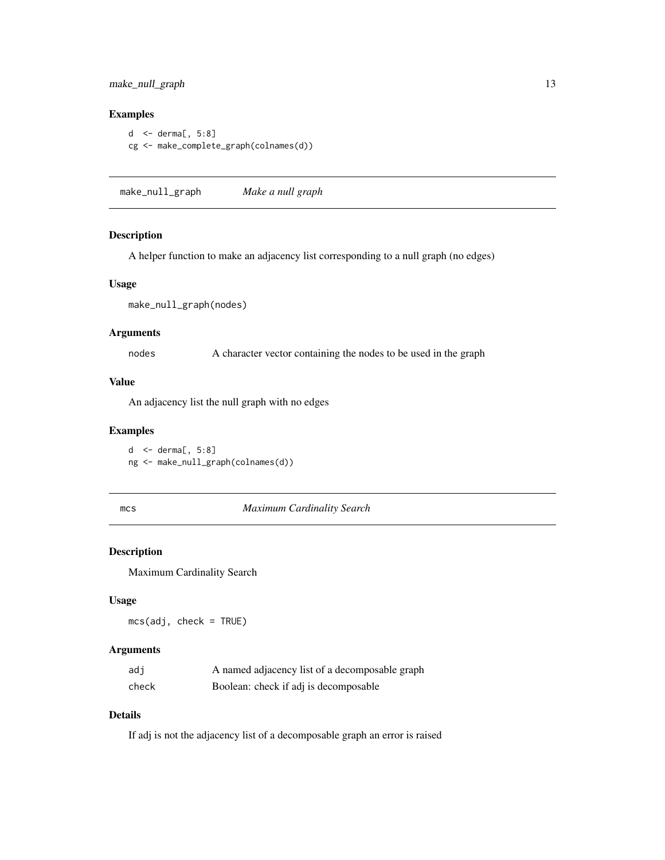# <span id="page-12-0"></span>make\_null\_graph 13

# Examples

```
d <- derma[, 5:8]
cg <- make_complete_graph(colnames(d))
```
make\_null\_graph *Make a null graph*

#### Description

A helper function to make an adjacency list corresponding to a null graph (no edges)

#### Usage

make\_null\_graph(nodes)

#### Arguments

nodes A character vector containing the nodes to be used in the graph

#### Value

An adjacency list the null graph with no edges

#### Examples

d <- derma[, 5:8] ng <- make\_null\_graph(colnames(d))

#### <span id="page-12-1"></span>mcs *Maximum Cardinality Search*

# Description

Maximum Cardinality Search

#### Usage

mcs(adj, check = TRUE)

# Arguments

| adi   | A named adjacency list of a decomposable graph |
|-------|------------------------------------------------|
| check | Boolean: check if adj is decomposable          |

#### Details

If adj is not the adjacency list of a decomposable graph an error is raised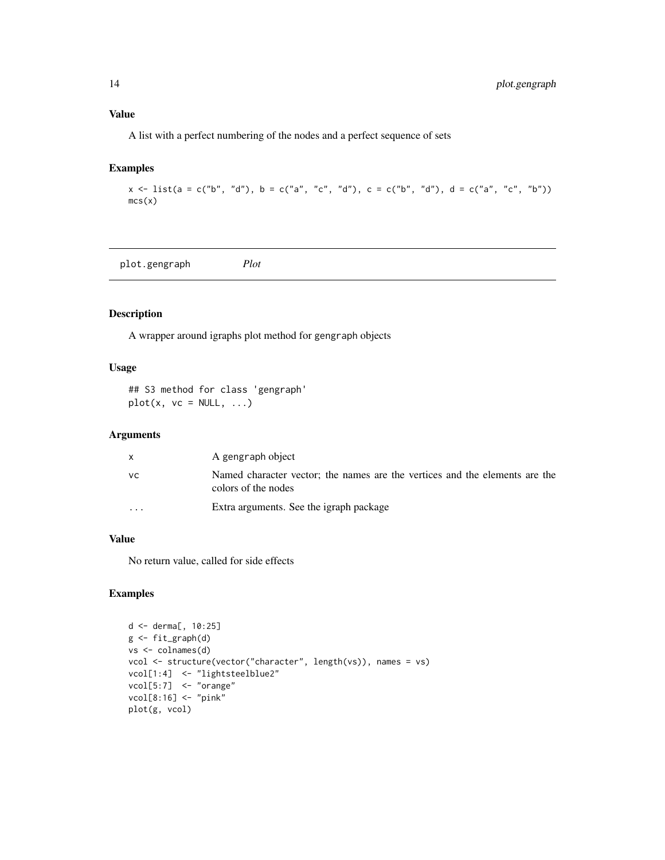# <span id="page-13-0"></span>Value

A list with a perfect numbering of the nodes and a perfect sequence of sets

# Examples

```
x \le -\text{list}(a = c("b", "d"), b = c("a", "c", "d"), c = c("b", "d"), d = c("a", "c", "b"))mcs(x)
```
plot.gengraph *Plot*

# Description

A wrapper around igraphs plot method for gengraph objects

# Usage

## S3 method for class 'gengraph'  $plot(x, vc = NULL, ...)$ 

# Arguments

|                         | A gengraph object                                                                                  |
|-------------------------|----------------------------------------------------------------------------------------------------|
| VC.                     | Named character vector; the names are the vertices and the elements are the<br>colors of the nodes |
| $\cdot$ $\cdot$ $\cdot$ | Extra arguments. See the igraph package                                                            |

## Value

No return value, called for side effects

```
d <- derma[, 10:25]
g <- fit_graph(d)
vs <- colnames(d)
vcol <- structure(vector("character", length(vs)), names = vs)
vcol[1:4] <- "lightsteelblue2"
vcol[5:7] <- "orange"
vcol[8:16] <- "pink"
plot(g, vcol)
```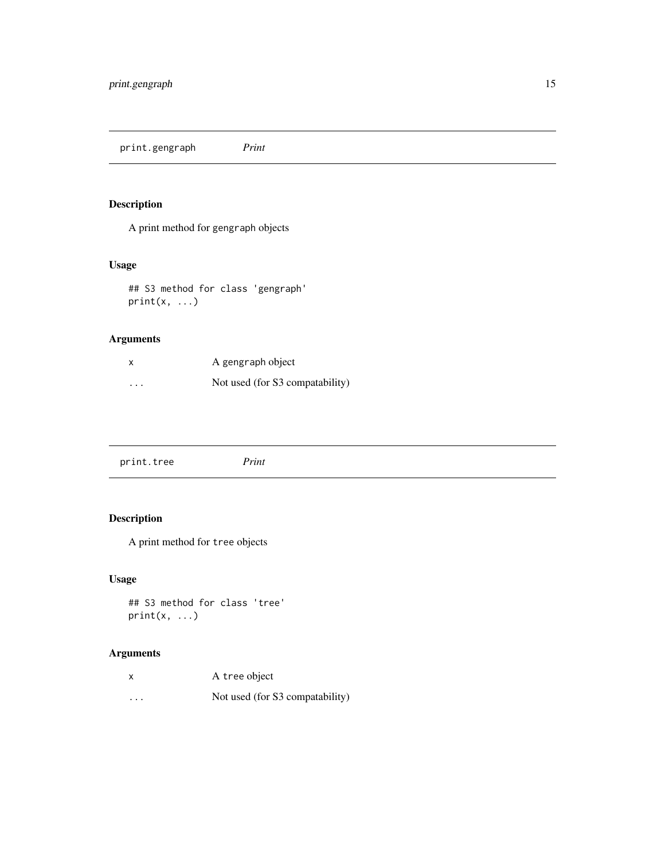<span id="page-14-0"></span>print.gengraph *Print*

# Description

A print method for gengraph objects

# Usage

## S3 method for class 'gengraph'  $print(x, \ldots)$ 

# Arguments

| x                       | A gengraph object               |
|-------------------------|---------------------------------|
| $\cdot$ $\cdot$ $\cdot$ | Not used (for S3 compatability) |

# Description

A print method for tree objects

# Usage

```
## S3 method for class 'tree'
print(x, \ldots)
```
# Arguments

| x                       | A tree object                   |
|-------------------------|---------------------------------|
| $\cdot$ $\cdot$ $\cdot$ | Not used (for S3 compatability) |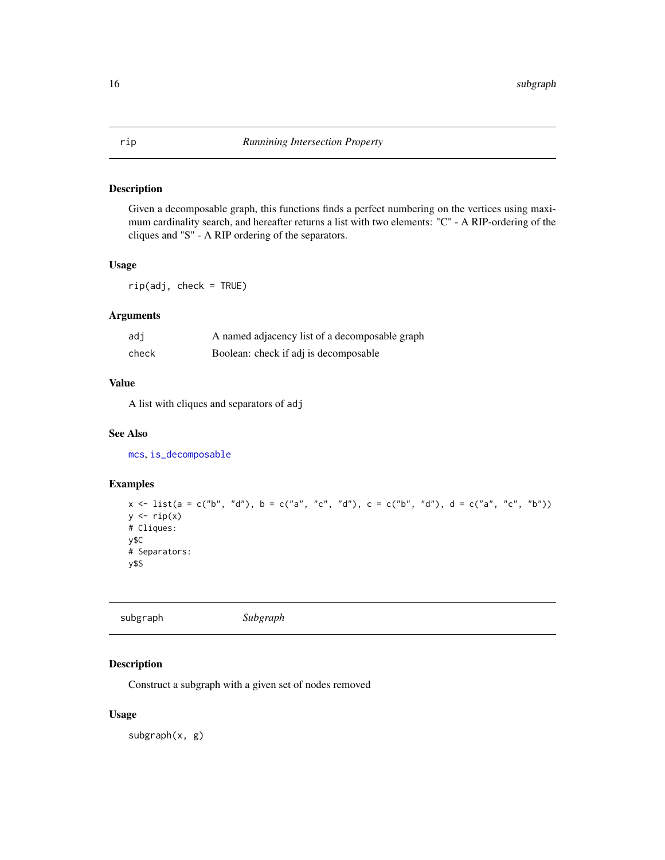<span id="page-15-0"></span>Given a decomposable graph, this functions finds a perfect numbering on the vertices using maximum cardinality search, and hereafter returns a list with two elements: "C" - A RIP-ordering of the cliques and "S" - A RIP ordering of the separators.

#### Usage

rip(adj, check = TRUE)

# Arguments

| adi   | A named adjacency list of a decomposable graph |
|-------|------------------------------------------------|
| check | Boolean: check if adj is decomposable          |

# Value

A list with cliques and separators of adj

# See Also

[mcs](#page-12-1), [is\\_decomposable](#page-11-1)

# Examples

 $x \le -\text{list}(a = c("b", "d"), b = c("a", "c", "d"), c = c("b", "d"), d = c("a", "c", "b"))$  $y \leftarrow rip(x)$ # Cliques: y\$C # Separators: y\$S

| Subgraph |
|----------|
|----------|

# Description

Construct a subgraph with a given set of nodes removed

#### Usage

subgraph(x, g)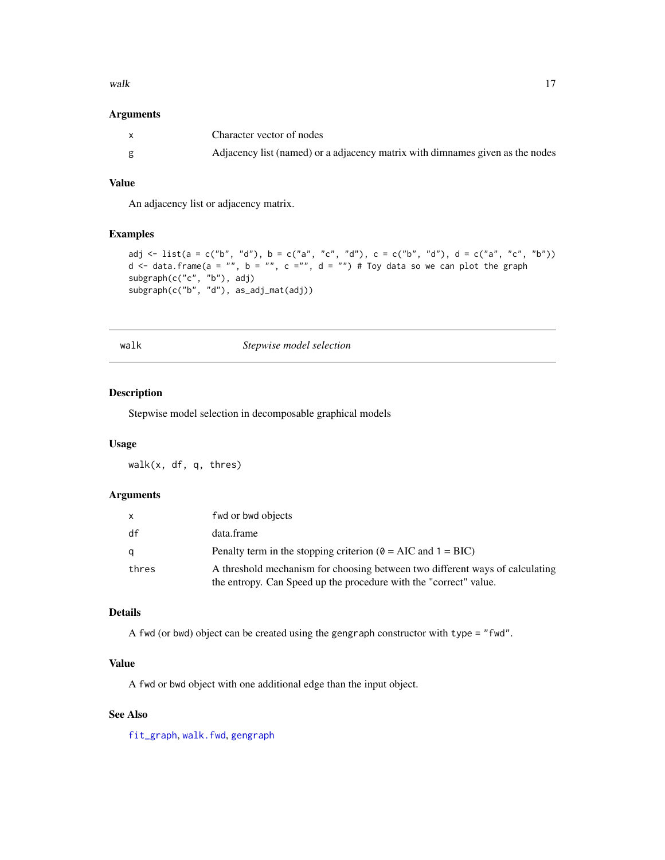#### <span id="page-16-0"></span>walk the contract of the contract of the contract of the contract of the contract of the contract of the contract of the contract of the contract of the contract of the contract of the contract of the contract of the contr

#### Arguments

| Character vector of nodes                                                     |
|-------------------------------------------------------------------------------|
| Adjacency list (named) or a adjacency matrix with dimnames given as the nodes |

#### Value

An adjacency list or adjacency matrix.

# Examples

```
adj <- list(a = c("b", "d"), b = c("a", "c", "d"), c = c("b", "d"), d = c("a", "c", "b"))
d \le data.frame(a = "", b = "", c ="", d = "") # Toy data so we can plot the graph
subgraph(c("c", "b"), adj)
subgraph(c("b", "d"), as_adj_mat(adj))
```

| ٠<br>× | ٠<br> |  |
|--------|-------|--|

walk *Stepwise model selection*

#### Description

Stepwise model selection in decomposable graphical models

#### Usage

walk(x, df, q, thres)

#### Arguments

| $\mathsf{x}$ | fwd or bwd objects                                                                                                                                |
|--------------|---------------------------------------------------------------------------------------------------------------------------------------------------|
| df           | data.frame                                                                                                                                        |
| q            | Penalty term in the stopping criterion ( $\theta = AIC$ and $1 = BIC$ )                                                                           |
| thres        | A threshold mechanism for choosing between two different ways of calculating<br>the entropy. Can Speed up the procedure with the "correct" value. |

# Details

A fwd (or bwd) object can be created using the gengraph constructor with type = "fwd".

# Value

A fwd or bwd object with one additional edge than the input object.

# See Also

[fit\\_graph](#page-8-1), [walk.fwd](#page-18-1), [gengraph](#page-10-1)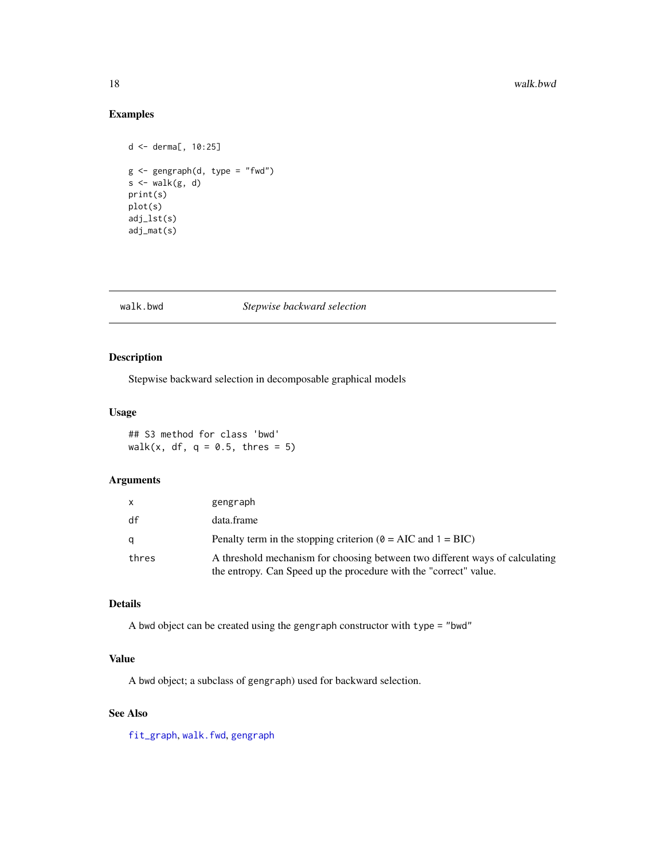# Examples

```
d <- derma[, 10:25]
g <- gengraph(d, type = "fwd")
s \leftarrow \text{walk}(g, d)print(s)
plot(s)
adj_lst(s)
adj_mat(s)
```
# <span id="page-17-1"></span>walk.bwd *Stepwise backward selection*

# Description

Stepwise backward selection in decomposable graphical models

#### Usage

## S3 method for class 'bwd' walk(x, df,  $q = 0.5$ , thres = 5)

#### Arguments

| x.    | gengraph                                                                                                                                          |
|-------|---------------------------------------------------------------------------------------------------------------------------------------------------|
| df    | data.frame                                                                                                                                        |
| α     | Penalty term in the stopping criterion ( $\theta$ = AIC and 1 = BIC)                                                                              |
| thres | A threshold mechanism for choosing between two different ways of calculating<br>the entropy. Can Speed up the procedure with the "correct" value. |

# Details

A bwd object can be created using the gengraph constructor with type = "bwd"

#### Value

A bwd object; a subclass of gengraph) used for backward selection.

### See Also

[fit\\_graph](#page-8-1), [walk.fwd](#page-18-1), [gengraph](#page-10-1)

<span id="page-17-0"></span>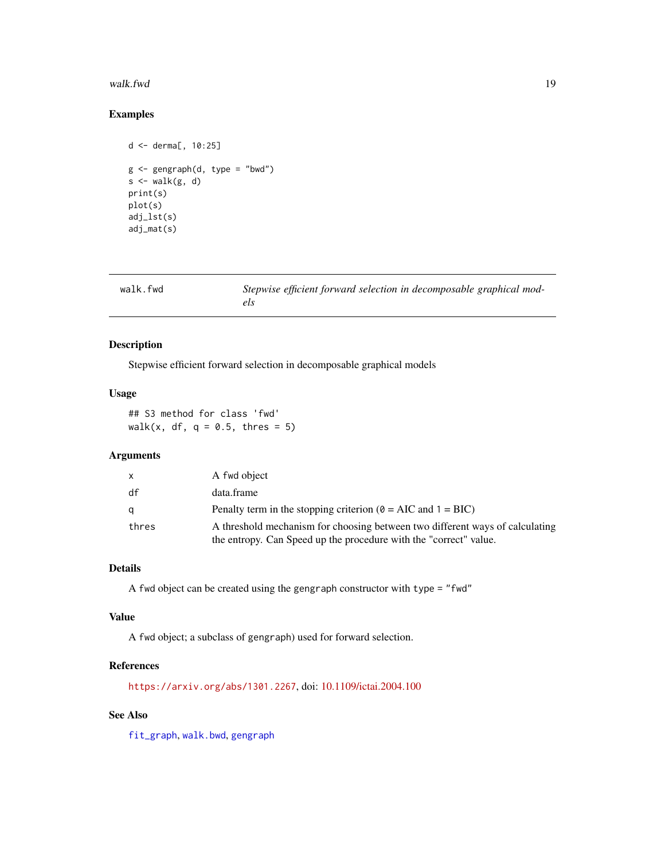#### <span id="page-18-0"></span>walk.fwd 19

# Examples

```
d <- derma[, 10:25]
g \leftarrow gengraph(d, type = "bwd")
s \leftarrow \text{walk}(g, d)print(s)
plot(s)
adj_lst(s)
adj_mat(s)
```
<span id="page-18-1"></span>

| walk.fwd | Stepwise efficient forward selection in decomposable graphical mod- |
|----------|---------------------------------------------------------------------|
|          | els                                                                 |

# Description

Stepwise efficient forward selection in decomposable graphical models

# Usage

## S3 method for class 'fwd' walk(x, df,  $q = 0.5$ , thres = 5)

#### Arguments

| X     | A fwd object                                                                                                                                      |
|-------|---------------------------------------------------------------------------------------------------------------------------------------------------|
| df    | data.frame                                                                                                                                        |
| a     | Penalty term in the stopping criterion ( $\theta$ = AIC and 1 = BIC)                                                                              |
| thres | A threshold mechanism for choosing between two different ways of calculating<br>the entropy. Can Speed up the procedure with the "correct" value. |

# Details

A fwd object can be created using the gengraph constructor with type = "fwd"

#### Value

A fwd object; a subclass of gengraph) used for forward selection.

#### References

<https://arxiv.org/abs/1301.2267>, doi: [10.1109/ictai.2004.100](https://doi.org/10.1109/ictai.2004.100)

## See Also

[fit\\_graph](#page-8-1), [walk.bwd](#page-17-1), [gengraph](#page-10-1)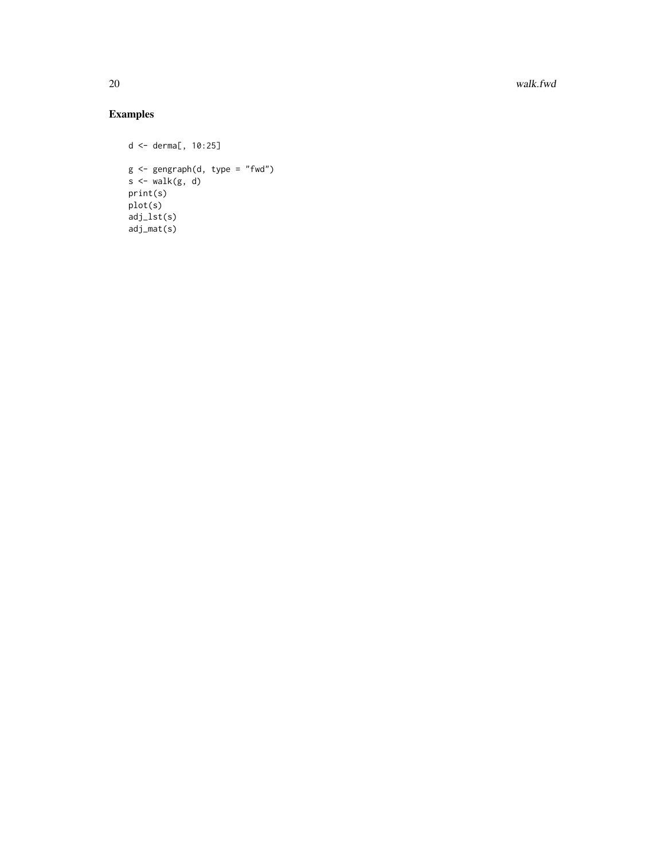20 walk.fwd

```
d <- derma[, 10:25]
g <- gengraph(d, type = "fwd")
s < - walk(g, d)print(s)
plot(s)
adj_lst(s)
adj_mat(s)
```